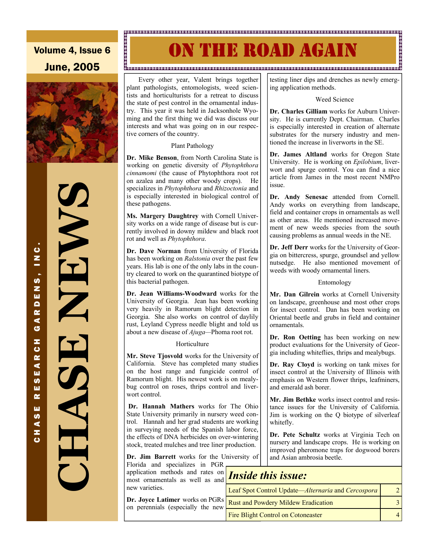### Volume 4, Issue 6 June, 2005



CHASE RESEARCH GARDENS, INC.

.<br>ပ  $\frac{1}{2}$ 

.<br>ო z w  $\blacksquare$ œ ⋖ ය z  $\bullet$ œ ∢ ш **U)** ш œ ш **S** ⋖ z  $\ddot{\mathbf{c}}$ 

### 

# N THE ROAD AGAIN

#### "<br>ଅକ୍ଷର ପରେ ଅକ୍ଷର ଅକ୍ଷର ସେ ଅକ୍ଷର କରିଥି ଅକ୍ଷର କରିଥି ଅକ୍ଷର ଅକ୍ଷର ଅକ୍ଷର ଅକ୍ଷର ଅକ୍ଷର ଅକ୍ଷର ସେ ଅକ୍ଷର ସେ ଏକ ଅକ୍ଷର ସେ ଅ

 Every other year, Valent brings together plant pathologists, entomologists, weed scientists and horticulturists for a retreat to discuss the state of pest control in the ornamental industry. This year it was held in Jacksonhole Wyoming and the first thing we did was discuss our interests and what was going on in our respective corners of the country.

#### Plant Pathology

**Dr. Mike Benson**, from North Carolina State is working on genetic diversity of *Phytophthora cinnamomi* (the cause of Phytophthora root rot on azalea and many other woody crops). He specializes in *Phytophthora* and *Rhizoctonia* and is especially interested in biological control of these pathogens.

**Ms. Margery Daughtrey** with Cornell University works on a wide range of disease but is currently involved in downy mildew and black root rot and well as *Phytophthora*.

**Dr. Dave Norman** from University of Florida has been working on *Ralstonia* over the past few years. His lab is one of the only labs in the country cleared to work on the quarantined biotype of this bacterial pathogen.

**Dr. Jean Williams-Woodward** works for the University of Georgia. Jean has been working very heavily in Ramorum blight detection in Georgia. She also works on control of daylily rust, Leyland Cypress needle blight and told us about a new disease of *Ajuga—*Phoma root rot.

#### **Horticulture**

**Mr. Steve Tjosvold** works for the University of California. Steve has completed many studies on the host range and fungicide control of Ramorum blight. His newest work is on mealybug control on roses, thrips control and liverwort control.

**Dr. Hannah Mathers** works for The Ohio State University primarily in nursery weed control. Hannah and her grad students are working in surveying needs of the Spanish labor force, the effects of DNA herbicides on over-wintering stock, treated mulches and tree liner production.

**Dr. Jim Barrett** works for the University of

Florida and specializes in PGR application methods and rates on application methods and rates on **Inside this issue:** most ornamentals as well as and **Inside this issue:** new varieties.

**Dr. Joyce Latimer** works on PGRs on perennials (especially the new testing liner dips and drenches as newly emerging application methods.

#### Weed Science

**Dr. Charles Gilliam** works for Auburn University. He is currently Dept. Chairman. Charles is especially interested in creation of alternate substrates for the nursery industry and mentioned the increase in liverworts in the SE.

**Dr. James Altland** works for Oregon State University. He is working on *Epilobium*, liverwort and spurge control. You can find a nice article from James in the most recent NMPro issue.

**Dr. Andy Senesac** attended from Cornell. Andy works on everything from landscape, field and container crops in ornamentals as well as other areas. He mentioned increased movement of new weeds species from the south causing problems as annual weeds in the NE.

**Dr. Jeff Derr** works for the University of Georgia on bittercress, spurge, groundsel and yellow nutsedge. He also mentioned movement of weeds with woody ornamental liners.

#### Entomology

**Mr. Dan Gilrein** works at Cornell University on landscape, greenhouse and most other crops for insect control. Dan has been working on Oriental beetle and grubs in field and container ornamentals.

**Dr. Ron Oetting** has been working on new product evaluations for the University of Georgia including whiteflies, thrips and mealybugs.

**Dr. Ray Cloyd** is working on tank mixes for insect control at the University of Illinois with emphasis on Western flower thrips, leafminers, and emerald ash borer.

**Mr. Jim Bethke** works insect control and resistance issues for the University of California. Jim is working on the Q biotype of silverleaf whitefly.

**Dr. Pete Schultz** works at Virginia Tech on nursery and landscape crops. He is working on improved pheromone traps for dogwood borers and Asian ambrosia beetle.

| Leaf Spot Control Update—Alternaria and Cercospora |  |  |
|----------------------------------------------------|--|--|
| <b>Rust and Powdery Mildew Eradication</b>         |  |  |
| <b>Fire Blight Control on Cotoneaster</b>          |  |  |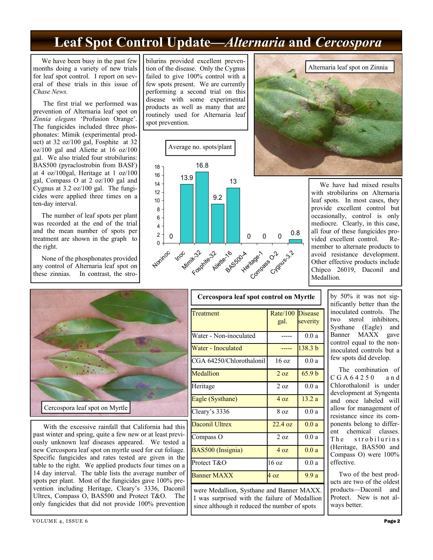### **Leaf Spot Control Update—***Alternaria* **and** *Cercospora*

 We have been busy in the past few months doing a variety of new trials for leaf spot control. I report on several of these trials in this issue of *Chase News.* 

 The first trial we performed was prevention of Alternaria leaf spot on *Zinnia elegans* 'Profusion Orange'. The fungicides included three phosphonates: Mimik (experimental product) at 32 oz/100 gal, Fosphite at 32 oz/100 gal and Aliette at 16 oz/100 gal. We also trialed four strobilurins: BAS500 (pyraclostrobin from BASF) at 4 oz/100gal, Heritage at 1 oz/100 gal, Compass O at 2 oz/100 gal and Cygnus at 3.2 oz/100 gal. The fungicides were applied three times on a ten-day interval.

 The number of leaf spots per plant was recorded at the end of the trial and the mean number of spots per treatment are shown in the graph to the right.

 None of the phosphonates provided any control of Alternaria leaf spot on these zinnias. In contrast, the stro-

bilurins provided excellent prevention of the disease. Only the Cygnus failed to give 100% control with a few spots present. We are currently performing a second trial on this disease with some experimental products as well as many that are routinely used for Alternaria leaf spot prevention.





 We have had mixed results with strobilurins on Alternaria leaf spots. In most cases, they provide excellent control but occasionally, control is only mediocre. Clearly, in this case, all four of these fungicides provided excellent control. Remember to alternate products to avoid resistance development. Other effective products include Chipco 26019, Daconil and Medallion.



 With the excessive rainfall that California had this past winter and spring, quite a few new or at least previously unknown leaf diseases appeared. We tested a new Cercospora leaf spot on myrtle used for cut foliage. Specific fungicides and rates tested are given in the table to the right. We applied products four times on a 14 day interval. The table lists the average number of spots per plant. Most of the fungicides gave 100% prevention including Heritage, Cleary's 3336, Daconil Ultrex, Compass O, BAS500 and Protect T&O. The only fungicides that did not provide 100% prevention

| Cercospora leaf spot control on Myrtle                                                                                                      |                          |                    |
|---------------------------------------------------------------------------------------------------------------------------------------------|--------------------------|--------------------|
| Treatment                                                                                                                                   | Rate/100 Disease<br>gal. | severity           |
| Water - Non-inoculated                                                                                                                      |                          | 0.0a               |
| Water - Inoculated                                                                                                                          |                          | 138.3 <sub>b</sub> |
| CGA 64250/Chlorothalonil                                                                                                                    | $16 \text{ oz}$          | 0.0a               |
| Medallion                                                                                                                                   | $2 \Omega$               | 65.9 <sub>b</sub>  |
| Heritage                                                                                                                                    | 2 oz                     | 0.0a               |
| Eagle (Systhane)                                                                                                                            | $4 \Omega$               | 13.2a              |
| Cleary's 3336                                                                                                                               | 8 oz                     | 0.0a               |
| <b>Daconil Ultrex</b>                                                                                                                       | $22.4 \text{ oz}$        | 0.0a               |
| Compass O                                                                                                                                   | 20z                      | 0.0a               |
| BAS500 (Insignia)                                                                                                                           | $4 \Omega$               | 0.0a               |
| Protect T&O                                                                                                                                 | 16 <sub>oz</sub>         | 0.0a               |
| <b>Banner MAXX</b>                                                                                                                          | 4 <sub>oz</sub>          | 9.9a               |
| were Medallion, Systhane and Banner MAXX.<br>I was surprised with the failure of Medallion<br>since although it reduced the number of spots |                          |                    |

by 50% it was not significantly better than the inoculated controls. The two sterol inhibitors, Systhane (Eagle) and Banner MAXX gave control equal to the noninoculated controls but a few spots did develop.

 The combination of C G A 6 4 2 5 0 a n d Chlorothalonil is under development at Syngenta and once labeled will allow for management of resistance since its components belong to different chemical classes. The strobilurins (Heritage, BAS500 and Compass O) were 100% effective.

 Two of the best products are two of the oldest products—Daconil and Protect. New is not always better.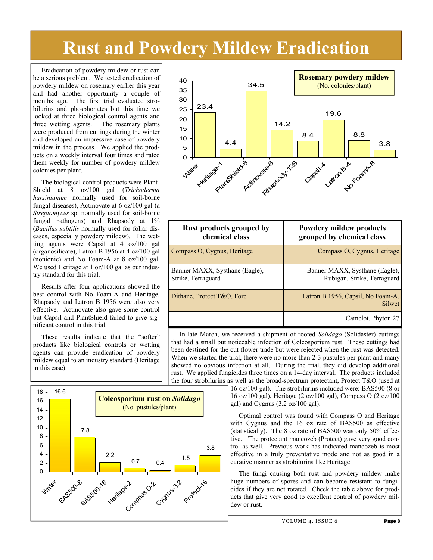# **Rust and Powdery Mildew Eradication**

 Eradication of powdery mildew or rust can be a serious problem. We tested eradication of powdery mildew on rosemary earlier this year and had another opportunity a couple of months ago. The first trial evaluated strobilurins and phosphonates but this time we looked at three biological control agents and<br>three wetting agents. The rosemary plants three wetting agents. were produced from cuttings during the winter and developed an impressive case of powdery mildew in the process. We applied the products on a weekly interval four times and rated them weekly for number of powdery mildew colonies per plant.

 The biological control products were Plant-Shield at 8 oz/100 gal (*Trichoderma harzinianum* normally used for soil-borne fungal diseases), Actinovate at 6 oz/100 gal (a *Streptomyces* sp. normally used for soil-borne fungal pathogens) and Rhapsody at 1% (*Bacillus subtilis* normally used for foliar diseases, especially powdery mildew). The wetting agents were Capsil at 4 oz/100 gal (organosilicate), Latron B 1956 at 4 oz/100 gal (nonionic) and No Foam-A at 8 oz/100 gal. We used Heritage at 1 oz/100 gal as our industry standard for this trial.

 Results after four applications showed the best control with No Foam-A and Heritage. Rhapsody and Latron B 1956 were also very effective. Actinovate also gave some control but Capsil and PlantShield failed to give significant control in this trial.

 These results indicate that the "softer" products like biological controls or wetting agents can provide eradication of powdery mildew equal to an industry standard (Heritage in this case).





| <b>Rust products grouped by</b><br>chemical class    | <b>Powdery mildew products</b><br>grouped by chemical class   |
|------------------------------------------------------|---------------------------------------------------------------|
| Compass O, Cygnus, Heritage                          | Compass O, Cygnus, Heritage                                   |
| Banner MAXX, Systhane (Eagle),<br>Strike, Terraguard | Banner MAXX, Systhane (Eagle),<br>Rubigan, Strike, Terraguard |
| Dithane, Protect T&O, Fore                           | Latron B 1956, Capsil, No Foam-A,<br>Silwet                   |
|                                                      | Camelot, Phyton 27                                            |

 In late March, we received a shipment of rooted *Solidago* (Solidaster) cuttings that had a small but noticeable infection of Coleosporium rust. These cuttings had been destined for the cut flower trade but were rejected when the rust was detected. When we started the trial, there were no more than 2-3 pustules per plant and many showed no obvious infection at all. During the trial, they did develop additional rust. We applied fungicides three times on a 14-day interval. The products included the four strobilurins as well as the broad-spectrum protectant, Protect  $T\&O$  (used at

> 16 oz/100 gal). The strobilurins included were: BAS500 (8 or 16 oz/100 gal), Heritage (2 oz/100 gal), Compass O (2 oz/100 gal) and Cygnus (3.2 oz/100 gal).

> Optimal control was found with Compass O and Heritage with Cygnus and the 16 oz rate of BAS500 as effective (statistically). The 8 oz rate of BAS500 was only 50% effective. The protectant mancozeb (Protect) gave very good control as well. Previous work has indicated mancozeb is most effective in a truly preventative mode and not as good in a curative manner as strobilurins like Heritage.

> The fungi causing both rust and powdery mildew make huge numbers of spores and can become resistant to fungicides if they are not rotated. Check the table above for products that give very good to excellent control of powdery mildew or rust.